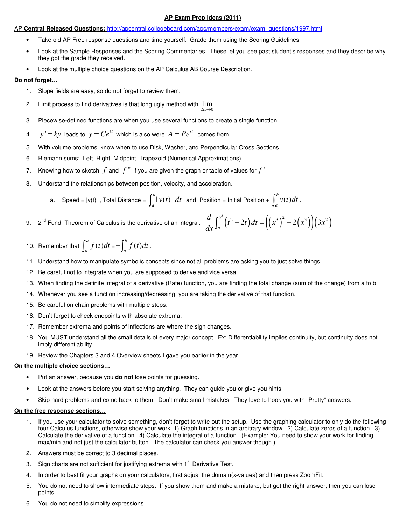# **AP Exam Prep Ideas (2011)**

# AP **Central Released Questions:** http://apcentral.collegeboard.com/apc/members/exam/exam\_questions/1997.html

- Take old AP Free response questions and time yourself. Grade them using the Scoring Guidelines.
- Look at the Sample Responses and the Scoring Commentaries. These let you see past student's responses and they describe why they got the grade they received.
- Look at the multiple choice questions on the AP Calculus AB Course Description.

# **Do not forget…**

- 1. Slope fields are easy, so do not forget to review them.
- 2. Limit process to find derivatives is that long ugly method with  $\lim$ . 0  $\Delta x \rightarrow$
- 3. Piecewise-defined functions are when you use several functions to create a single function.
- 4. *y'* =  $ky$  leads to  $y = Ce^{kt}$  which is also were  $A = Pe^{rt}$  comes from.
- 5. With volume problems, know when to use Disk, Washer, and Perpendicular Cross Sections.
- 6. Riemann sums: Left, Right, Midpoint, Trapezoid (Numerical Approximations).
- 7. Knowing how to sketch *f* and *f* '' if you are given the graph or table of values for *f* ' .
- 8. Understand the relationships between position, velocity, and acceleration.

a. Speed = 
$$
|v(t)|
$$
, Total Distance =  $\int_a^b |v(t)| dt$  and Position = Initial Position +  $\int_a^b v(t) dt$ .

- 9.  $2^{nd}$  Fund. Theorem of Calculus is the derivative of an integral.  $\frac{d}{dx}\int_a^{x^3}(t^2-2t)dt=\left(\left(x^3\right)^2-2\left(x^3\right)\right)\left(3x^2\right)$ *a*  $\frac{d}{dx} \int_0^{x^3} (t^2 - 2t) dt = ((x^3)^2 - 2(x^3))(3x)$  $\frac{d}{dx}\int_a^x (t^2-2t) dt = ((x^3)^2 -$
- 10. Remember that  $\int_{a}^{a} f(t)$  $\int_{b}^{a} f(t)dt = -\int_{a}^{b} f(t)$  $-\int_a^b f(t)dt$ .
- 11. Understand how to manipulate symbolic concepts since not all problems are asking you to just solve things.
- 12. Be careful not to integrate when you are supposed to derive and vice versa.
- 13. When finding the definite integral of a derivative (Rate) function, you are finding the total change (sum of the change) from a to b.
- 14. Whenever you see a function increasing/decreasing, you are taking the derivative of that function.
- 15. Be careful on chain problems with multiple steps.
- 16. Don't forget to check endpoints with absolute extrema.
- 17. Remember extrema and points of inflections are where the sign changes.
- 18. You MUST understand all the small details of every major concept. Ex: Differentiability implies continuity, but continuity does not imply differentiability.
- 19. Review the Chapters 3 and 4 Overview sheets I gave you earlier in the year.

# **On the multiple choice sections…**

- Put an answer, because you **do not** lose points for guessing.
- Look at the answers before you start solving anything. They can guide you or give you hints.
- Skip hard problems and come back to them. Don't make small mistakes. They love to hook you with "Pretty" answers.

# **On the free response sections…**

- 1. If you use your calculator to solve something, don't forget to write out the setup. Use the graphing calculator to only do the following four Calculus functions, otherwise show your work. 1) Graph functions in an arbitrary window. 2) Calculate zeros of a function. 3) Calculate the derivative of a function. 4) Calculate the integral of a function. (Example: You need to show your work for finding max/min and not just the calculator button. The calculator can check you answer though.)
- 2. Answers must be correct to 3 decimal places.
- 3. Sign charts are not sufficient for justifying extrema with  $1<sup>st</sup>$  Derivative Test.
- 4. In order to best fit your graphs on your calculators, first adjust the domain(x-values) and then press ZoomFit.
- 5. You do not need to show intermediate steps. If you show them and make a mistake, but get the right answer, then you can lose points.
- 6. You do not need to simplify expressions.